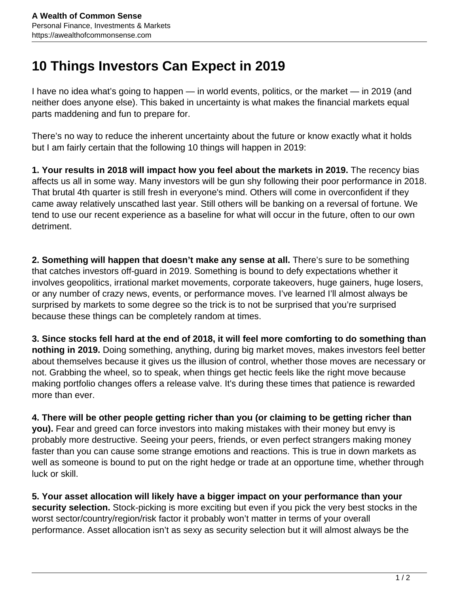## **10 Things Investors Can Expect in 2019**

I have no idea what's going to happen — in world events, politics, or the market — in 2019 (and neither does anyone else). This baked in uncertainty is what makes the financial markets equal parts maddening and fun to prepare for.

There's no way to reduce the inherent uncertainty about the future or know exactly what it holds but I am fairly certain that the following 10 things will happen in 2019:

**1. Your results in 2018 will impact how you feel about the markets in 2019.** The recency bias affects us all in some way. Many investors will be gun shy following their poor performance in 2018. That brutal 4th quarter is still fresh in everyone's mind. Others will come in overconfident if they came away relatively unscathed last year. Still others will be banking on a reversal of fortune. We tend to use our recent experience as a baseline for what will occur in the future, often to our own detriment.

**2. Something will happen that doesn't make any sense at all.** There's sure to be something that catches investors off-guard in 2019. Something is bound to defy expectations whether it involves geopolitics, irrational market movements, corporate takeovers, huge gainers, huge losers, or any number of crazy news, events, or performance moves. I've learned I'll almost always be surprised by markets to some degree so the trick is to not be surprised that you're surprised because these things can be completely random at times.

**3. Since stocks fell hard at the end of 2018, it will feel more comforting to do something than nothing in 2019.** Doing something, anything, during big market moves, makes investors feel better about themselves because it gives us the illusion of control, whether those moves are necessary or not. Grabbing the wheel, so to speak, when things get hectic feels like the right move because making portfolio changes offers a release valve. It's during these times that patience is rewarded more than ever.

**4. There will be other people getting richer than you (or claiming to be getting richer than you).** Fear and greed can force investors into making mistakes with their money but envy is probably more destructive. Seeing your peers, friends, or even perfect strangers making money faster than you can cause some strange emotions and reactions. This is true in down markets as well as someone is bound to put on the right hedge or trade at an opportune time, whether through luck or skill.

**5. Your asset allocation will likely have a bigger impact on your performance than your security selection.** Stock-picking is more exciting but even if you pick the very best stocks in the worst sector/country/region/risk factor it probably won't matter in terms of your overall performance. Asset allocation isn't as sexy as security selection but it will almost always be the